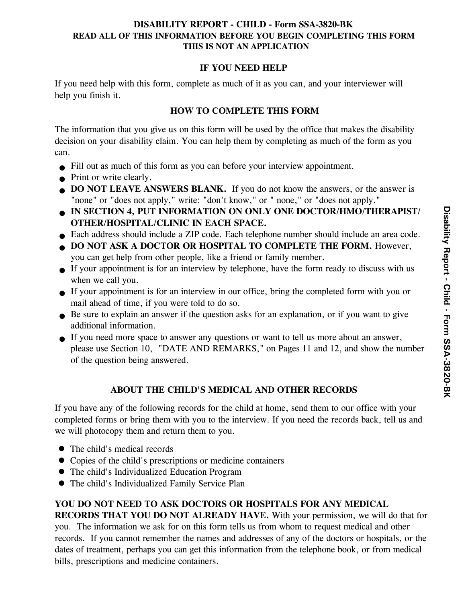## **DISABILITY REPORT - CHILD - Form SSA-3820-BK READ ALL OF THIS INFORMATION BEFORE YOU BEGIN COMPLETING THIS FORM THIS IS NOT AN APPLICATION**

## **IF YOU NEED HELP**

If you need help with this form, complete as much of it as you can, and your interviewer will help you finish it.

# **HOW TO COMPLETE THIS FORM**

The information that you give us on this form will be used by the office that makes the disability decision on your disability claim. You can help them by completing as much of the form as you can.

- Fill out as much of this form as you can before your interview appointment. z
- Print or write clearly.
- **OD NOT LEAVE ANSWERS BLANK.** If you do not know the answers, or the answer is "none" or "does not apply," write: "don't know," or " none," or "does not apply."
- **IN SECTION 4, PUT INFORMATION ON ONLY ONE DOCTOR/HMO/THERAPIST/ OTHER/HOSPITAL/CLINIC IN EACH SPACE.**
- Each address should include a ZIP code. Each telephone number should include an area code. z
- **DO NOT ASK A DOCTOR OR HOSPITAL TO COMPLETE THE FORM.** However, you can get help from other people, like a friend or family member.  $\bullet$
- If your appointment is for an interview by telephone, have the form ready to discuss with us z when we call you.
- If your appointment is for an interview in our office, bring the completed form with you or z mail ahead of time, if you were told to do so.
- Be sure to explain an answer if the question asks for an explanation, or if you want to give additional information.
- If you need more space to answer any questions or want to tell us more about an answer, z please use Section 10, "DATE AND REMARKS," on Pages 11 and 12, and show the number of the question being answered.

# **ABOUT THE CHILD'S MEDICAL AND OTHER RECORDS**

If you have any of the following records for the child at home, send them to our office with your completed forms or bring them with you to the interview. If you need the records back, tell us and we will photocopy them and return them to you.

- The child's medical records
- Copies of the child's prescriptions or medicine containers z
- The child's Individualized Education Program
- The child's Individualized Family Service Plan

**YOU DO NOT NEED TO ASK DOCTORS OR HOSPITALS FOR ANY MEDICAL RECORDS THAT YOU DO NOT ALREADY HAVE.** With your permission, we will do that for you. The information we ask for on this form tells us from whom to request medical and other records. If you cannot remember the names and addresses of any of the doctors or hospitals, or the dates of treatment, perhaps you can get this information from the telephone book, or from medical bills, prescriptions and medicine containers.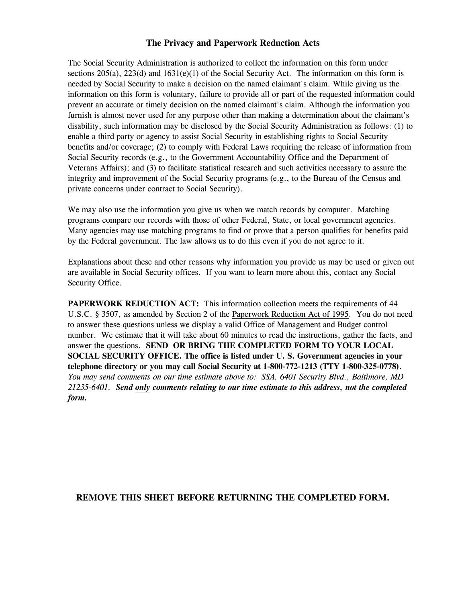#### **The Privacy and Paperwork Reduction Acts**

The Social Security Administration is authorized to collect the information on this form under sections  $205(a)$ ,  $223(d)$  and  $1631(e)(1)$  of the Social Security Act. The information on this form is needed by Social Security to make a decision on the named claimant's claim. While giving us the information on this form is voluntary, failure to provide all or part of the requested information could prevent an accurate or timely decision on the named claimant's claim. Although the information you furnish is almost never used for any purpose other than making a determination about the claimant's disability, such information may be disclosed by the Social Security Administration as follows: (1) to enable a third party or agency to assist Social Security in establishing rights to Social Security benefits and/or coverage; (2) to comply with Federal Laws requiring the release of information from Social Security records (e.g., to the Government Accountability Office and the Department of Veterans Affairs); and (3) to facilitate statistical research and such activities necessary to assure the integrity and improvement of the Social Security programs (e.g., to the Bureau of the Census and private concerns under contract to Social Security).

We may also use the information you give us when we match records by computer. Matching programs compare our records with those of other Federal, State, or local government agencies. Many agencies may use matching programs to find or prove that a person qualifies for benefits paid by the Federal government. The law allows us to do this even if you do not agree to it.

Explanations about these and other reasons why information you provide us may be used or given out are available in Social Security offices. If you want to learn more about this, contact any Social Security Office.

**PAPERWORK REDUCTION ACT:** This information collection meets the requirements of 44 U.S.C. § 3507, as amended by Section 2 of the Paperwork Reduction Act of 1995. You do not need to answer these questions unless we display a valid Office of Management and Budget control number. We estimate that it will take about 60 minutes to read the instructions, gather the facts, and answer the questions. **SEND OR BRING THE COMPLETED FORM TO YOUR LOCAL SOCIAL SECURITY OFFICE. The office is listed under U. S. Government agencies in your telephone directory or you may call Social Security at 1-800-772-1213 (TTY 1-800-325-0778).** *You may send comments on our time estimate above to: SSA, 6401 Security Blvd., Baltimore, MD 21235-6401. Send only comments relating to our time estimate to this address, not the completed form.*

#### **REMOVE THIS SHEET BEFORE RETURNING THE COMPLETED FORM.**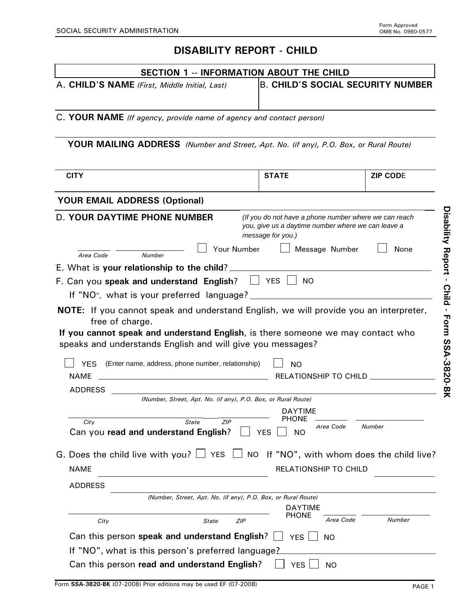# **DISABILITY REPORT - CHILD**

|                                                                                                                                                                                                                                                                  | <b>SECTION 1 -- INFORMATION ABOUT THE CHILD</b>               |                                                                                                             |
|------------------------------------------------------------------------------------------------------------------------------------------------------------------------------------------------------------------------------------------------------------------|---------------------------------------------------------------|-------------------------------------------------------------------------------------------------------------|
| A. CHILD'S NAME (First, Middle Initial, Last)                                                                                                                                                                                                                    |                                                               | <b>B. CHILD'S SOCIAL SECURITY NUMBER</b>                                                                    |
|                                                                                                                                                                                                                                                                  |                                                               |                                                                                                             |
| C. YOUR NAME (If agency, provide name of agency and contact person)                                                                                                                                                                                              |                                                               |                                                                                                             |
|                                                                                                                                                                                                                                                                  |                                                               |                                                                                                             |
| YOUR MAILING ADDRESS (Number and Street, Apt. No. (if any), P.O. Box, or Rural Route)                                                                                                                                                                            |                                                               |                                                                                                             |
|                                                                                                                                                                                                                                                                  |                                                               |                                                                                                             |
| <b>CITY</b>                                                                                                                                                                                                                                                      | <b>STATE</b>                                                  | <b>ZIP CODE</b>                                                                                             |
| <b>YOUR EMAIL ADDRESS (Optional)</b>                                                                                                                                                                                                                             |                                                               |                                                                                                             |
| <b>D. YOUR DAYTIME PHONE NUMBER</b>                                                                                                                                                                                                                              | message for you.)                                             | (If you do not have a phone number where we can reach<br>you, give us a daytime number where we can leave a |
|                                                                                                                                                                                                                                                                  | Your Number                                                   | Message Number<br>None                                                                                      |
| Number<br>Area Code<br>E. What is your relationship to the child?                                                                                                                                                                                                |                                                               |                                                                                                             |
| F. Can you speak and understand English?                                                                                                                                                                                                                         | $\Box$ YES $\Box$                                             | <b>NO</b>                                                                                                   |
| If "NO", what is your preferred language?                                                                                                                                                                                                                        |                                                               |                                                                                                             |
| <b>NOTE:</b> If you cannot speak and understand English, we will provide you an interpreter,<br>free of charge.<br>If you cannot speak and understand English, is there someone we may contact who<br>speaks and understands English and will give you messages? |                                                               |                                                                                                             |
| YES (Enter name, address, phone number, relationship)<br><b>NAME</b><br><u> 1989 - Johann Barbara, martxa eta idazlea (h. 1989).</u>                                                                                                                             | <b>NO</b>                                                     | RELATIONSHIP TO CHILD __________                                                                            |
| <b>ADDRESS</b>                                                                                                                                                                                                                                                   | (Number, Street, Apt. No. (if any), P.O. Box, or Rural Route) |                                                                                                             |
|                                                                                                                                                                                                                                                                  | <b>DAYTIME</b>                                                |                                                                                                             |
| City<br>State<br>Can you read and understand English?                                                                                                                                                                                                            | PHONE<br>ZIP<br><b>YES</b><br>NO.                             | Area Code<br>Number                                                                                         |
| G. Does the child live with you? $\Box$ YES $\Box$ NO If "NO", with whom does the child live?                                                                                                                                                                    |                                                               |                                                                                                             |
| <b>NAME</b>                                                                                                                                                                                                                                                      |                                                               | <b>RELATIONSHIP TO CHILD</b>                                                                                |
| <b>ADDRESS</b>                                                                                                                                                                                                                                                   |                                                               |                                                                                                             |
|                                                                                                                                                                                                                                                                  | (Number, Street, Apt. No. (if any), P.O. Box, or Rural Route) |                                                                                                             |
|                                                                                                                                                                                                                                                                  | <b>DAYTIME</b><br><b>PHONE</b>                                |                                                                                                             |
| City<br>State                                                                                                                                                                                                                                                    | ZIP                                                           | Area Code<br>Number                                                                                         |
| Can this person speak and understand English?                                                                                                                                                                                                                    | <b>YES</b>                                                    | <b>NO</b>                                                                                                   |
| If "NO", what is this person's preferred language?                                                                                                                                                                                                               |                                                               |                                                                                                             |

 $\Box$  YES  $\Box$  NO

Form **SSA-3820-BK** (07-2008) Prior editions may be used EF (07-2008)

Can this person **read and understand English**?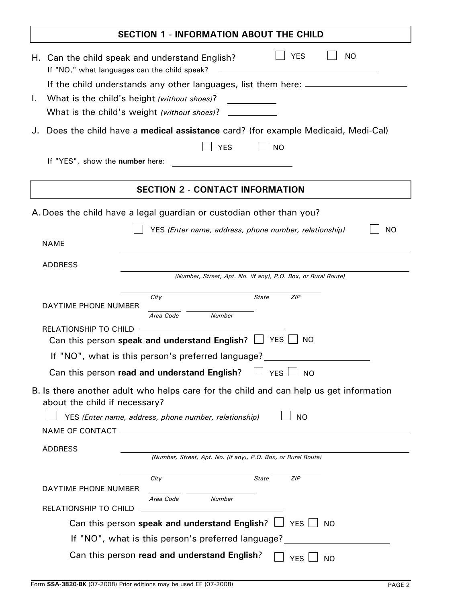| <b>SECTION 1 - INFORMATION ABOUT THE CHILD</b>                                                                                                                                                                                                                                                                                               |  |  |  |  |
|----------------------------------------------------------------------------------------------------------------------------------------------------------------------------------------------------------------------------------------------------------------------------------------------------------------------------------------------|--|--|--|--|
| <b>YES</b><br><b>NO</b><br>H. Can the child speak and understand English?<br>If "NO," what languages can the child speak?<br>If the child understands any other languages, list them here: __________________                                                                                                                                |  |  |  |  |
| What is the child's height (without shoes)?<br>Τ.<br>What is the child's weight (without shoes)?                                                                                                                                                                                                                                             |  |  |  |  |
| Does the child have a medical assistance card? (for example Medicaid, Medi-Cal)                                                                                                                                                                                                                                                              |  |  |  |  |
| <b>YES</b><br><b>NO</b><br>If "YES", show the number here:                                                                                                                                                                                                                                                                                   |  |  |  |  |
| <b>SECTION 2 - CONTACT INFORMATION</b>                                                                                                                                                                                                                                                                                                       |  |  |  |  |
| A. Does the child have a legal guardian or custodian other than you?<br>YES (Enter name, address, phone number, relationship)<br><b>NO</b><br><b>NAME</b>                                                                                                                                                                                    |  |  |  |  |
| <b>ADDRESS</b><br>(Number, Street, Apt. No. (if any), P.O. Box, or Rural Route)                                                                                                                                                                                                                                                              |  |  |  |  |
| City<br><b>State</b><br><b>ZIP</b><br>DAYTIME PHONE NUMBER<br>Area Code<br><b>Number</b><br><b>RELATIONSHIP TO CHILD</b><br><b>YES</b><br><b>NO</b><br>Can this person speak and understand English? $\Box$<br>If "NO", what is this person's preferred language?<br>Can this person read and understand English?<br><b>YES</b><br><b>NO</b> |  |  |  |  |
| B. Is there another adult who helps care for the child and can help us get information<br>about the child if necessary?<br><b>NO</b><br>YES (Enter name, address, phone number, relationship)<br>NAME OF CONTACT<br><b>ADDRESS</b><br>(Number, Street, Apt. No. (if any), P.O. Box, or Rural Route)                                          |  |  |  |  |
| ZIP<br>City<br>State<br>DAYTIME PHONE NUMBER<br>Area Code<br><b>Number</b><br><b>RELATIONSHIP TO CHILD</b>                                                                                                                                                                                                                                   |  |  |  |  |
| Can this person speak and understand English? $\Box$ YES $\Box$ NO                                                                                                                                                                                                                                                                           |  |  |  |  |
| If "NO", what is this person's preferred language?                                                                                                                                                                                                                                                                                           |  |  |  |  |
| Can this person read and understand English?<br><b>YES</b><br><b>NO</b>                                                                                                                                                                                                                                                                      |  |  |  |  |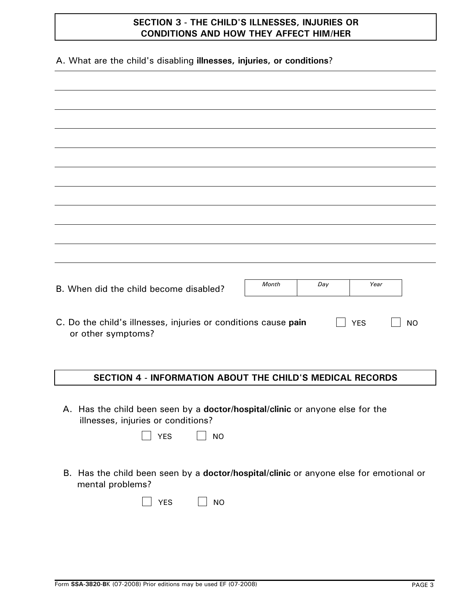## **SECTION 3 - THE CHILD'S ILLNESSES, INJURIES OR CONDITIONS AND HOW THEY AFFECT HIM/HER**

A. What are the child's disabling **illnesses, injuries, or conditions**?

| B. When did the child become disabled?                                               | <b>Month</b> | Day | Year       |           |
|--------------------------------------------------------------------------------------|--------------|-----|------------|-----------|
|                                                                                      |              |     |            |           |
| C. Do the child's illnesses, injuries or conditions cause pain<br>or other symptoms? |              |     | <b>YES</b> | <b>NO</b> |
|                                                                                      |              |     |            |           |

#### **SECTION 4 - INFORMATION ABOUT THE CHILD'S MEDICAL RECORDS**

A. Has the child been seen by a **doctor/hospital/clinic** or anyone else for the illnesses, injuries or conditions?

|  | - |
|--|---|
|--|---|

B. Has the child been seen by a **doctor/hospital/clinic** or anyone else for emotional or mental problems?

| $\overline{\phantom{a}}$ |  |  | NΩ<br>г |
|--------------------------|--|--|---------|
|--------------------------|--|--|---------|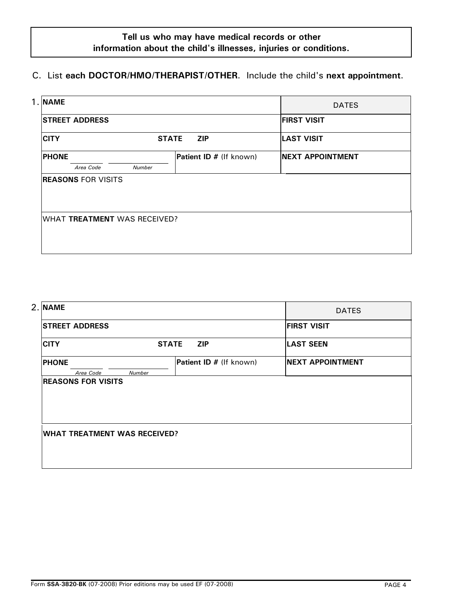# **Tell us who may have medical records or other information about the child's illnesses, injuries or conditions.**

## C. List **each DOCTOR/HMO/THERAPIST/OTHER**. Include the child's **next appointment**.

| 1. NAME                      |              |                         | <b>DATES</b>             |
|------------------------------|--------------|-------------------------|--------------------------|
| <b>STREET ADDRESS</b>        |              | <b>FIRST VISIT</b>      |                          |
| <b>CITY</b>                  | <b>STATE</b> | <b>ZIP</b>              | <b>LAST VISIT</b>        |
| <b>PHONE</b>                 |              | Patient ID # (If known) | <b>INEXT APPOINTMENT</b> |
| Area Code                    | Number       |                         |                          |
| <b>REASONS FOR VISITS</b>    |              |                         |                          |
| WHAT TREATMENT WAS RECEIVED? |              |                         |                          |

| 2. NAME                             |              |                         | <b>DATES</b>            |
|-------------------------------------|--------------|-------------------------|-------------------------|
| <b>STREET ADDRESS</b>               |              |                         | <b>FIRST VISIT</b>      |
| <b>CITY</b>                         | <b>STATE</b> | <b>ZIP</b>              | <b>LAST SEEN</b>        |
| <b>PHONE</b><br>Area Code           | Number       | Patient ID # (If known) | <b>NEXT APPOINTMENT</b> |
| <b>REASONS FOR VISITS</b>           |              |                         |                         |
|                                     |              |                         |                         |
|                                     |              |                         |                         |
| <b>WHAT TREATMENT WAS RECEIVED?</b> |              |                         |                         |
|                                     |              |                         |                         |
|                                     |              |                         |                         |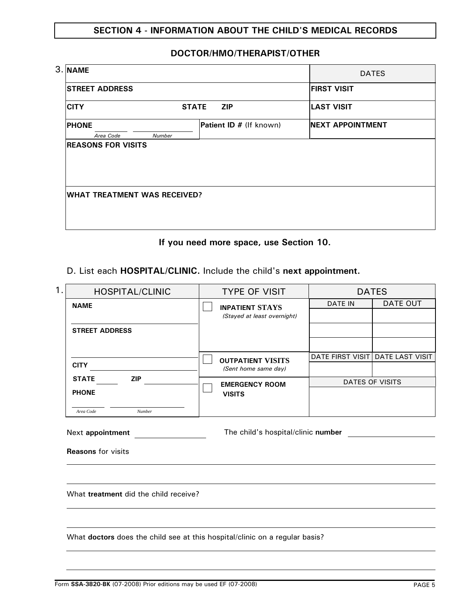## **SECTION 4 - INFORMATION ABOUT THE CHILD'S MEDICAL RECORDS**

## **DOCTOR/HMO/THERAPIST/OTHER**

| 3. NAME                             |        | <b>DATES</b>               |                          |
|-------------------------------------|--------|----------------------------|--------------------------|
| <b>STREET ADDRESS</b>               |        |                            | <b>FIRST VISIT</b>       |
| <b>CITY</b>                         |        | <b>ZIP</b><br><b>STATE</b> | <b>LAST VISIT</b>        |
| <b>PHONE</b>                        |        | Patient ID # (If known)    | <b>INEXT APPOINTMENT</b> |
| Area Code                           | Number |                            |                          |
|                                     |        |                            |                          |
| <b>WHAT TREATMENT WAS RECEIVED?</b> |        |                            |                          |
|                                     |        |                            |                          |

#### **If you need more space, use Section 10.**

## D. List each **HOSPITAL/CLINIC.** Include the child's **next appointment.**

| 1.<br><b>HOSPITAL/CLINIC</b>                                                | <b>TYPE OF VISIT</b>               | <b>DATES</b> |                                  |  |
|-----------------------------------------------------------------------------|------------------------------------|--------------|----------------------------------|--|
| <b>NAME</b>                                                                 | <b>INPATIENT STAYS</b>             | DATE IN      | DATE OUT                         |  |
|                                                                             | (Stayed at least overnight)        |              |                                  |  |
| <b>STREET ADDRESS</b>                                                       |                                    |              |                                  |  |
|                                                                             |                                    |              |                                  |  |
|                                                                             | <b>OUTPATIENT VISITS</b>           |              | DATE FIRST VISIT DATE LAST VISIT |  |
| <b>CITY</b>                                                                 | (Sent home same day)               |              |                                  |  |
| <b>STATE</b><br><b>ZIP</b>                                                  | <b>EMERGENCY ROOM</b>              |              | <b>DATES OF VISITS</b>           |  |
| <b>PHONE</b>                                                                | <b>VISITS</b>                      |              |                                  |  |
| Area Code<br>Number                                                         |                                    |              |                                  |  |
| Next appointment<br><b>Reasons for visits</b>                               | The child's hospital/clinic number |              |                                  |  |
|                                                                             |                                    |              |                                  |  |
| What treatment did the child receive?                                       |                                    |              |                                  |  |
|                                                                             |                                    |              |                                  |  |
| What doctors does the child see at this hospital/clinic on a regular basis? |                                    |              |                                  |  |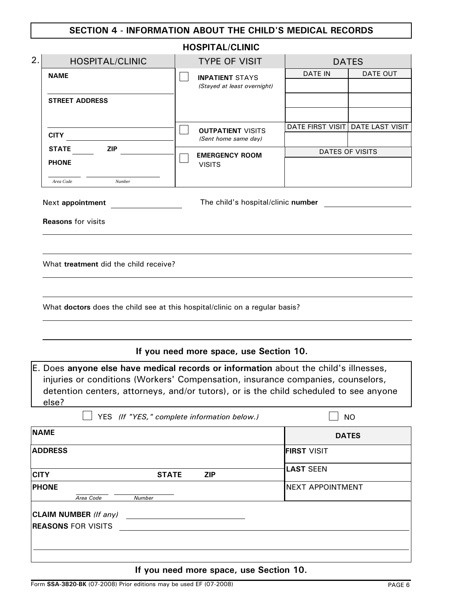## **SECTION 4 - INFORMATION ABOUT THE CHILD'S MEDICAL RECORDS**

|                                                                                                                                                                                                                                                                                                                                                                                                   | <b>HOSPITAL/CLINIC</b>                             |                                  |                        |
|---------------------------------------------------------------------------------------------------------------------------------------------------------------------------------------------------------------------------------------------------------------------------------------------------------------------------------------------------------------------------------------------------|----------------------------------------------------|----------------------------------|------------------------|
| 2.<br><b>HOSPITAL/CLINIC</b>                                                                                                                                                                                                                                                                                                                                                                      | <b>TYPE OF VISIT</b>                               |                                  | <b>DATES</b>           |
| <b>NAME</b>                                                                                                                                                                                                                                                                                                                                                                                       | <b>INPATIENT STAYS</b>                             |                                  | DATE OUT               |
|                                                                                                                                                                                                                                                                                                                                                                                                   | (Stayed at least overnight)                        |                                  |                        |
| <b>STREET ADDRESS</b>                                                                                                                                                                                                                                                                                                                                                                             |                                                    |                                  |                        |
|                                                                                                                                                                                                                                                                                                                                                                                                   |                                                    |                                  |                        |
| <b>CITY</b>                                                                                                                                                                                                                                                                                                                                                                                       | <b>OUTPATIENT VISITS</b><br>(Sent home same day)   | DATE FIRST VISIT DATE LAST VISIT |                        |
| ZIP<br><b>STATE</b>                                                                                                                                                                                                                                                                                                                                                                               |                                                    |                                  | <b>DATES OF VISITS</b> |
| <b>PHONE</b>                                                                                                                                                                                                                                                                                                                                                                                      | <b>EMERGENCY ROOM</b><br><b>VISITS</b>             |                                  |                        |
| Number<br>Area Code                                                                                                                                                                                                                                                                                                                                                                               |                                                    |                                  |                        |
| Next appointment                                                                                                                                                                                                                                                                                                                                                                                  | The child's hospital/clinic number                 |                                  |                        |
| <b>Reasons</b> for visits                                                                                                                                                                                                                                                                                                                                                                         |                                                    |                                  |                        |
| What treatment did the child receive?<br>What doctors does the child see at this hospital/clinic on a regular basis?<br>E. Does anyone else have medical records or information about the child's illnesses,<br>injuries or conditions (Workers' Compensation, insurance companies, counselors,<br>detention centers, attorneys, and/or tutors), or is the child scheduled to see anyone<br>else? | If you need more space, use Section 10.            |                                  |                        |
|                                                                                                                                                                                                                                                                                                                                                                                                   | YES (If "YES," complete information below.)        |                                  | <b>NO</b>              |
| <b>NAME</b>                                                                                                                                                                                                                                                                                                                                                                                       |                                                    |                                  | <b>DATES</b>           |
| <b>ADDRESS</b>                                                                                                                                                                                                                                                                                                                                                                                    |                                                    | <b>FIRST VISIT</b>               |                        |
| <b>CITY</b>                                                                                                                                                                                                                                                                                                                                                                                       | <b>STATE</b><br><b>ZIP</b>                         | <b>LAST SEEN</b>                 |                        |
| <b>PHONE</b><br>Area Code<br>Number                                                                                                                                                                                                                                                                                                                                                               |                                                    | <b>NEXT APPOINTMENT</b>          |                        |
| CLAIM NUMBER (If any)<br><b>REASONS FOR VISITS</b>                                                                                                                                                                                                                                                                                                                                                | <u> 1989 - John Stone, Amerikaansk politiker (</u> |                                  |                        |

**If you need more space, use Section 10.**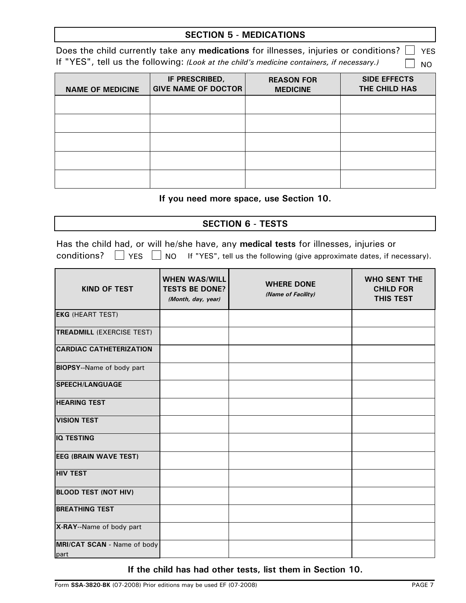| <b>SECTION 5 - MEDICATIONS</b> |
|--------------------------------|
|--------------------------------|

Does the child currently take any **medications** for illnesses, injuries or conditions? YES - 1 If "YES", tell us the following: *(Look at the child's medicine containers, if necessary.)* NO

| <b>NAME OF MEDICINE</b> | IF PRESCRIBED,<br><b>GIVE NAME OF DOCTOR</b> | <b>REASON FOR</b><br><b>MEDICINE</b> | <b>SIDE EFFECTS</b><br>THE CHILD HAS |
|-------------------------|----------------------------------------------|--------------------------------------|--------------------------------------|
|                         |                                              |                                      |                                      |
|                         |                                              |                                      |                                      |
|                         |                                              |                                      |                                      |
|                         |                                              |                                      |                                      |
|                         |                                              |                                      |                                      |

#### **If you need more space, use Section 10.**

#### **SECTION 6 - TESTS**

|  |  | Has the child had, or will he/she have, any medical tests for illnesses, injuries or                     |
|--|--|----------------------------------------------------------------------------------------------------------|
|  |  | conditions? $\Box$ YES $\Box$ NO If "YES", tell us the following (give approximate dates, if necessary). |

| <b>KIND OF TEST</b>                 | <b>WHEN WAS/WILL</b><br><b>TESTS BE DONE?</b><br>(Month, day, year) | <b>WHERE DONE</b><br>(Name of Facility) | <b>WHO SENT THE</b><br><b>CHILD FOR</b><br><b>THIS TEST</b> |
|-------------------------------------|---------------------------------------------------------------------|-----------------------------------------|-------------------------------------------------------------|
| <b>EKG (HEART TEST)</b>             |                                                                     |                                         |                                                             |
| <b>TREADMILL (EXERCISE TEST)</b>    |                                                                     |                                         |                                                             |
| <b>CARDIAC CATHETERIZATION</b>      |                                                                     |                                         |                                                             |
| <b>BIOPSY--Name of body part</b>    |                                                                     |                                         |                                                             |
| <b>SPEECH/LANGUAGE</b>              |                                                                     |                                         |                                                             |
| <b>HEARING TEST</b>                 |                                                                     |                                         |                                                             |
| <b>VISION TEST</b>                  |                                                                     |                                         |                                                             |
| <b>IQ TESTING</b>                   |                                                                     |                                         |                                                             |
| <b>EEG (BRAIN WAVE TEST)</b>        |                                                                     |                                         |                                                             |
| <b>HIV TEST</b>                     |                                                                     |                                         |                                                             |
| <b>BLOOD TEST (NOT HIV)</b>         |                                                                     |                                         |                                                             |
| <b>BREATHING TEST</b>               |                                                                     |                                         |                                                             |
| X-RAY--Name of body part            |                                                                     |                                         |                                                             |
| MRI/CAT SCAN - Name of body<br>part |                                                                     |                                         |                                                             |

#### **If the child has had other tests, list them in Section 10.**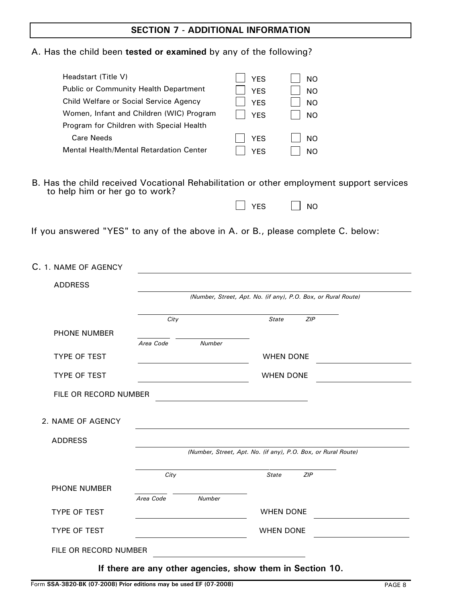## **SECTION 7 - ADDITIONAL INFORMATION**

|  |  |  | A. Has the child been tested or examined by any of the following? |  |  |  |  |
|--|--|--|-------------------------------------------------------------------|--|--|--|--|
|  |  |  |                                                                   |  |  |  |  |

| Headstart (Title V)            |                                          | <b>YES</b>   | <b>NO</b>                                                                                |
|--------------------------------|------------------------------------------|--------------|------------------------------------------------------------------------------------------|
|                                | Public or Community Health Department    | <b>YES</b>   | <b>NO</b>                                                                                |
|                                | Child Welfare or Social Service Agency   | <b>YES</b>   | <b>NO</b>                                                                                |
|                                | Women, Infant and Children (WIC) Program | <b>YES</b>   | <b>NO</b>                                                                                |
|                                | Program for Children with Special Health |              |                                                                                          |
| <b>Care Needs</b>              |                                          | <b>YES</b>   | <b>NO</b>                                                                                |
|                                | Mental Health/Mental Retardation Center  | <b>YES</b>   | <b>NO</b>                                                                                |
|                                |                                          |              |                                                                                          |
| to help him or her go to work? |                                          |              | B. Has the child received Vocational Rehabilitation or other employment support services |
|                                |                                          | <b>YES</b>   | <b>NO</b>                                                                                |
|                                |                                          |              |                                                                                          |
|                                |                                          |              | If you answered "YES" to any of the above in A. or B., please complete C. below:         |
|                                |                                          |              |                                                                                          |
| C. 1. NAME OF AGENCY           |                                          |              |                                                                                          |
| <b>ADDRESS</b>                 |                                          |              |                                                                                          |
|                                |                                          |              | (Number, Street, Apt. No. (if any), P.O. Box, or Rural Route)                            |
|                                |                                          |              |                                                                                          |
|                                | City                                     | <b>State</b> | ZIP                                                                                      |
| PHONE NUMBER                   |                                          |              |                                                                                          |
|                                | Area Code<br>Number                      |              |                                                                                          |
| <b>TYPE OF TEST</b>            |                                          |              | <b>WHEN DONE</b>                                                                         |
|                                |                                          |              |                                                                                          |
| <b>TYPE OF TEST</b>            |                                          |              | <b>WHEN DONE</b>                                                                         |
| FILE OR RECORD NUMBER          |                                          |              |                                                                                          |
|                                |                                          |              |                                                                                          |
| 2. NAME OF AGENCY              |                                          |              |                                                                                          |
|                                |                                          |              |                                                                                          |
| <b>ADDRESS</b>                 |                                          |              | (Number, Street, Apt. No. (if any), P.O. Box, or Rural Route)                            |
|                                |                                          |              |                                                                                          |
|                                | City                                     | <b>State</b> | <b>ZIP</b>                                                                               |
| <b>PHONE NUMBER</b>            |                                          |              |                                                                                          |
|                                | Area Code<br><b>Number</b>               |              |                                                                                          |
| <b>TYPE OF TEST</b>            |                                          |              | <b>WHEN DONE</b>                                                                         |
| <b>TYPE OF TEST</b>            |                                          |              | <b>WHEN DONE</b>                                                                         |
|                                |                                          |              |                                                                                          |
| FILE OR RECORD NUMBER          |                                          |              |                                                                                          |

**If there are any other agencies, show them in Section 10.**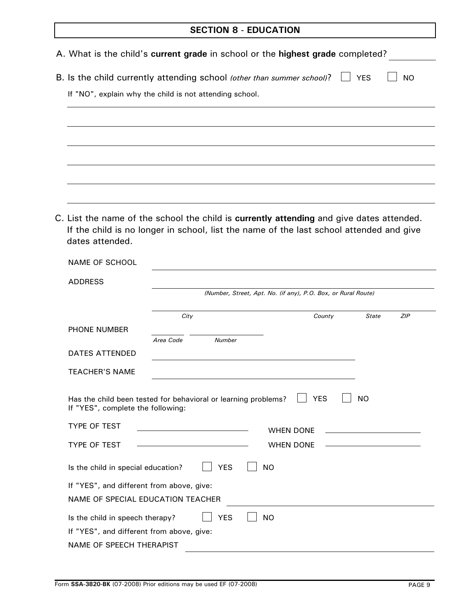## **SECTION 8 - EDUCATION**

|                                           | A. What is the child's current grade in school or the highest grade completed?                                                                                                      |                                                               |                            |
|-------------------------------------------|-------------------------------------------------------------------------------------------------------------------------------------------------------------------------------------|---------------------------------------------------------------|----------------------------|
|                                           | B. Is the child currently attending school (other than summer school)?                                                                                                              |                                                               | <b>NO YES</b><br><b>NO</b> |
|                                           | If "NO", explain why the child is not attending school.                                                                                                                             |                                                               |                            |
|                                           |                                                                                                                                                                                     |                                                               |                            |
|                                           |                                                                                                                                                                                     |                                                               |                            |
|                                           |                                                                                                                                                                                     |                                                               |                            |
|                                           |                                                                                                                                                                                     |                                                               |                            |
|                                           |                                                                                                                                                                                     |                                                               |                            |
|                                           |                                                                                                                                                                                     |                                                               |                            |
| dates attended.                           | C. List the name of the school the child is currently attending and give dates attended.<br>If the child is no longer in school, list the name of the last school attended and give |                                                               |                            |
|                                           |                                                                                                                                                                                     |                                                               |                            |
| <b>NAME OF SCHOOL</b>                     |                                                                                                                                                                                     |                                                               |                            |
| <b>ADDRESS</b>                            |                                                                                                                                                                                     |                                                               |                            |
|                                           |                                                                                                                                                                                     | (Number, Street, Apt. No. (if any), P.O. Box, or Rural Route) |                            |
|                                           | City                                                                                                                                                                                | County                                                        | <b>State</b><br><b>ZIP</b> |
| PHONE NUMBER                              | Area Code<br><b>Number</b>                                                                                                                                                          |                                                               |                            |
| <b>DATES ATTENDED</b>                     |                                                                                                                                                                                     |                                                               |                            |
| <b>TEACHER'S NAME</b>                     |                                                                                                                                                                                     |                                                               |                            |
|                                           |                                                                                                                                                                                     |                                                               |                            |
| If "YES", complete the following:         | Has the child been tested for behavioral or learning problems?                                                                                                                      | <b>YES</b>                                                    | <b>NO</b>                  |
| <b>TYPE OF TEST</b>                       |                                                                                                                                                                                     | <b>WHEN DONE</b>                                              |                            |
| <b>TYPE OF TEST</b>                       |                                                                                                                                                                                     | <b>WHEN DONE</b>                                              |                            |
| Is the child in special education?        | <b>YES</b>                                                                                                                                                                          | <b>NO</b>                                                     |                            |
| If "YES", and different from above, give: |                                                                                                                                                                                     |                                                               |                            |
| NAME OF SPECIAL EDUCATION TEACHER         |                                                                                                                                                                                     |                                                               |                            |
| Is the child in speech therapy?           | <b>YES</b>                                                                                                                                                                          | <b>NO</b>                                                     |                            |
| If "YES", and different from above, give: |                                                                                                                                                                                     |                                                               |                            |
| <b>NAME OF SPEECH THERAPIST</b>           |                                                                                                                                                                                     |                                                               |                            |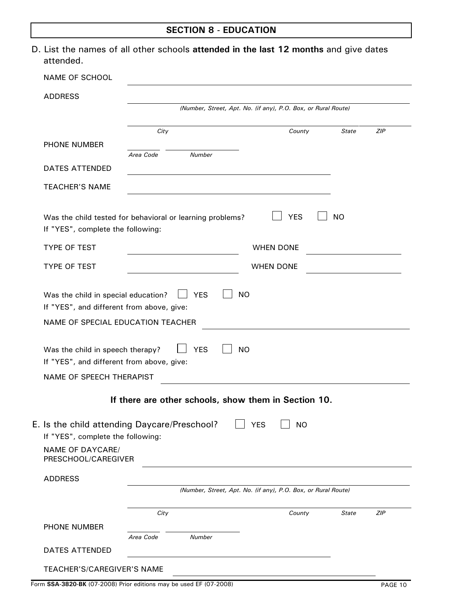|                                                                                                                       |           | <b>SECTION 8 - EDUCATION</b> |                                                                                      |                     |
|-----------------------------------------------------------------------------------------------------------------------|-----------|------------------------------|--------------------------------------------------------------------------------------|---------------------|
| attended.                                                                                                             |           |                              | D. List the names of all other schools attended in the last 12 months and give dates |                     |
| <b>NAME OF SCHOOL</b>                                                                                                 |           |                              |                                                                                      |                     |
| <b>ADDRESS</b>                                                                                                        |           |                              |                                                                                      |                     |
|                                                                                                                       |           |                              | (Number, Street, Apt. No. (if any), P.O. Box, or Rural Route)                        |                     |
|                                                                                                                       | City      |                              | County                                                                               | <b>State</b><br>ZIP |
| PHONE NUMBER                                                                                                          |           |                              |                                                                                      |                     |
|                                                                                                                       | Area Code | <b>Number</b>                |                                                                                      |                     |
| DATES ATTENDED                                                                                                        |           |                              |                                                                                      |                     |
| <b>TEACHER'S NAME</b>                                                                                                 |           |                              |                                                                                      |                     |
| <b>TYPE OF TEST</b>                                                                                                   |           |                              | <b>WHEN DONE</b>                                                                     |                     |
| <b>TYPE OF TEST</b>                                                                                                   |           |                              | <b>WHEN DONE</b>                                                                     |                     |
| Was the child in special education?<br>If "YES", and different from above, give:<br>NAME OF SPECIAL EDUCATION TEACHER |           | <b>YES</b>                   | <b>NO</b>                                                                            |                     |
| Was the child in speech therapy?<br>If "YES", and different from above, give:                                         |           | <b>YES</b>                   | <b>NO</b>                                                                            |                     |
| NAME OF SPEECH THERAPIST                                                                                              |           |                              |                                                                                      |                     |
|                                                                                                                       |           |                              | If there are other schools, show them in Section 10.                                 |                     |
| E. Is the child attending Daycare/Preschool?<br>If "YES", complete the following:                                     |           |                              | <b>YES</b><br><b>NO</b>                                                              |                     |

*(Number, Street, Apt. No. (if any), P.O. Box, or Rural Route)*

*City County State ZIP*

*Area Code Number*

TEACHER'S/CAREGIVER'S NAME

ADDRESS

DATES ATTENDED

PHONE NUMBER

NAME OF DAYCARE/ PRESCHOOL/CAREGIVER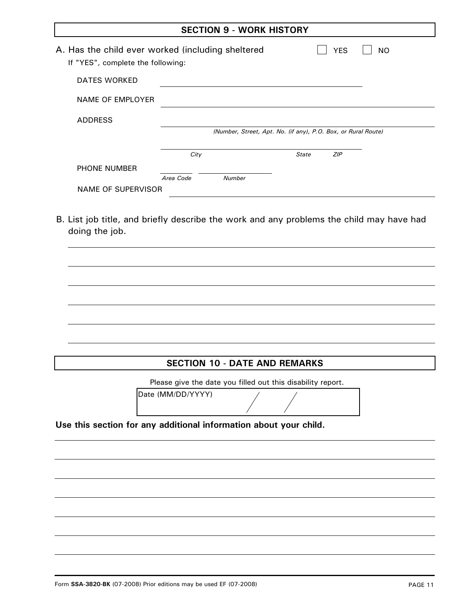| <b>SECTION 9 - WORK HISTORY</b>                                                        |           |                                                               |              |            |                |
|----------------------------------------------------------------------------------------|-----------|---------------------------------------------------------------|--------------|------------|----------------|
| A. Has the child ever worked (including sheltered<br>If "YES", complete the following: |           |                                                               |              | <b>YES</b> | N <sub>O</sub> |
| <b>DATES WORKED</b>                                                                    |           |                                                               |              |            |                |
| NAME OF EMPLOYER                                                                       |           |                                                               |              |            |                |
| <b>ADDRESS</b>                                                                         |           |                                                               |              |            |                |
|                                                                                        |           | (Number, Street, Apt. No. (if any), P.O. Box, or Rural Route) |              |            |                |
|                                                                                        | City      |                                                               | <b>State</b> | ZIP        |                |
| <b>PHONE NUMBER</b>                                                                    |           |                                                               |              |            |                |
|                                                                                        | Area Code | <b>Number</b>                                                 |              |            |                |
| NAME OF SUPERVISOR                                                                     |           |                                                               |              |            |                |

B. List job title, and briefly describe the work and any problems the child may have had doing the job.

**SECTION 10 - DATE AND REMARKS Use this section for any additional information about your child.**  Please give the date you filled out this disability report. Date (MM/DD/YYYY)